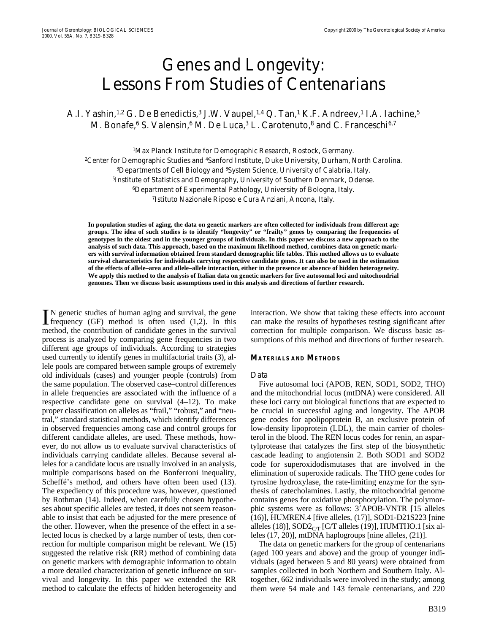# Genes and Longevity: Lessons From Studies of Centenarians

A.I. Yashin,<sup>1,2</sup> G. De Benedictis,<sup>3</sup> J.W. Vaupel,<sup>1,4</sup> Q. Tan,<sup>1</sup> K.F. Andreev,<sup>1</sup> I.A. Iachine,<sup>5</sup> M. Bonafe,<sup>6</sup> S. Valensin,<sup>6</sup> M. De Luca,<sup>3</sup> L. Carotenuto,<sup>8</sup> and C. Franceschi<sup>6,7</sup>

<sup>1</sup>Max Planck Institute for Demographic Research, Rostock, Germany. <sup>2</sup>Center for Demographic Studies and <sup>4</sup>Sanford Institute, Duke University, Durham, North Carolina. 3Departments of Cell Biology and 8System Science, University of Calabria, Italy. 5Institute of Statistics and Demography, University of Southern Denmark, Odense. 6Department of Experimental Pathology, University of Bologna, Italy. 7Istituto Nazionale Riposo e Cura Anziani, Ancona, Italy.

**In population studies of aging, the data on genetic markers are often collected for individuals from different age groups. The idea of such studies is to identify "longevity" or "frailty" genes by comparing the frequencies of genotypes in the oldest and in the younger groups of individuals. In this paper we discuss a new approach to the analysis of such data. This approach, based on the maximum likelihood method, combines data on genetic markers with survival information obtained from standard demographic life tables. This method allows us to evaluate survival characteristics for individuals carrying respective candidate genes. It can also be used in the estimation of the effects of allele–area and allele–allele interaction, either in the presence or absence of hidden heterogeneity. We apply this method to the analysis of Italian data on genetic markers for five autosomal loci and mitochondrial genomes. Then we discuss basic assumptions used in this analysis and directions of further research.**

N genetic studies of human aging and survival, the gene  $\prod$ N genetic studies of human aging and survival, the gene<br>frequency (GF) method is often used (1,2). In this method, the contribution of candidate genes in the survival process is analyzed by comparing gene frequencies in two different age groups of individuals. According to strategies used currently to identify genes in multifactorial traits (3), allele pools are compared between sample groups of extremely old individuals (cases) and younger people (controls) from the same population. The observed case–control differences in allele frequencies are associated with the influence of a respective candidate gene on survival (4–12). To make proper classification on alleles as "frail," "robust," and "neutral," standard statistical methods, which identify differences in observed frequencies among case and control groups for different candidate alleles, are used. These methods, however, do not allow us to evaluate survival characteristics of individuals carrying candidate alleles. Because several alleles for a candidate locus are usually involved in an analysis, multiple comparisons based on the Bonferroni inequality, Scheffé's method, and others have often been used (13). The expediency of this procedure was, however, questioned by Rothman (14). Indeed, when carefully chosen hypotheses about specific alleles are tested, it does not seem reasonable to insist that each be adjusted for the mere presence of the other. However, when the presence of the effect in a selected locus is checked by a large number of tests, then correction for multiple comparison might be relevant. We (15) suggested the relative risk (RR) method of combining data on genetic markers with demographic information to obtain a more detailed characterization of genetic influence on survival and longevity. In this paper we extended the RR method to calculate the effects of hidden heterogeneity and

interaction. We show that taking these effects into account can make the results of hypotheses testing significant after correction for multiple comparison. We discuss basic assumptions of this method and directions of further research.

## **MATERIALS AND METHODS**

### *Data*

Five autosomal loci (APOB, REN, SOD1, SOD2, THO) and the mitochondrial locus (mtDNA) were considered. All these loci carry out biological functions that are expected to be crucial in successful aging and longevity. The APOB gene codes for apolipoprotein B, an exclusive protein of low-density lipoprotein (LDL), the main carrier of cholesterol in the blood. The REN locus codes for renin, an aspartylprotease that catalyzes the first step of the biosynthetic cascade leading to angiotensin 2. Both SOD1 and SOD2 code for superoxidodismutases that are involved in the elimination of superoxide radicals. The THO gene codes for tyrosine hydroxylase, the rate-limiting enzyme for the synthesis of catecholamines. Lastly, the mitochondrial genome contains genes for oxidative phosphorylation. The polymorphic systems were as follows: 3'APOB-VNTR [15 alleles (16)], HUMREN.4 [five alleles, (17)], SOD1-D21S223 [nine alleles (18)],  $SOD2_{CT}$  [C/T alleles (19)], HUMTHO.1 [six alleles (17, 20)], mtDNA haplogroups [nine alleles, (21)].

The data on genetic markers for the group of centenarians (aged 100 years and above) and the group of younger individuals (aged between 5 and 80 years) were obtained from samples collected in both Northern and Southern Italy. Altogether, 662 individuals were involved in the study; among them were 54 male and 143 female centenarians, and 220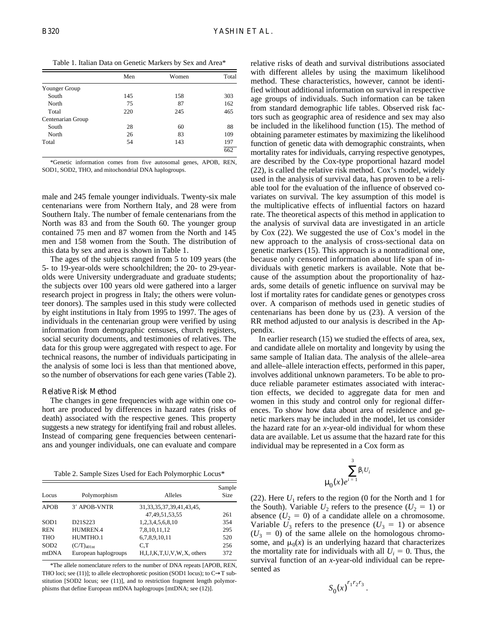Table 1. Italian Data on Genetic Markers by Sex and Area\*

|                   | Men | Women | Total |
|-------------------|-----|-------|-------|
| Younger Group     |     |       |       |
| South             | 145 | 158   | 303   |
| North             | 75  | 87    | 162   |
| Total             | 220 | 245   | 465   |
| Centenarian Group |     |       |       |
| South             | 28  | 60    | 88    |
| North             | 26  | 83    | 109   |
| Total             | 54  | 143   | 197   |
|                   |     |       | 662   |

\*Genetic information comes from five autosomal genes, APOB, REN, SOD1, SOD2, THO, and mitochondrial DNA haplogroups.

male and 245 female younger individuals. Twenty-six male centenarians were from Northern Italy, and 28 were from Southern Italy. The number of female centenarians from the North was 83 and from the South 60. The younger group contained 75 men and 87 women from the North and 145 men and 158 women from the South. The distribution of this data by sex and area is shown in Table 1.

The ages of the subjects ranged from 5 to 109 years (the 5- to 19-year-olds were schoolchildren; the 20- to 29-yearolds were University undergraduate and graduate students; the subjects over 100 years old were gathered into a larger research project in progress in Italy; the others were volunteer donors). The samples used in this study were collected by eight institutions in Italy from 1995 to 1997. The ages of individuals in the centenarian group were verified by using information from demographic censuses, church registers, social security documents, and testimonies of relatives. The data for this group were aggregated with respect to age. For technical reasons, the number of individuals participating in the analysis of some loci is less than that mentioned above, so the number of observations for each gene varies (Table 2).

# *Relative Risk Method*

The changes in gene frequencies with age within one cohort are produced by differences in hazard rates (risks of death) associated with the respective genes. This property suggests a new strategy for identifying frail and robust alleles. Instead of comparing gene frequencies between centenarians and younger individuals, one can evaluate and compare

Table 2. Sample Sizes Used for Each Polymorphic Locus\*

| Locus            | Polymorphism                     | Alleles                           | Sample<br><b>Size</b> |
|------------------|----------------------------------|-----------------------------------|-----------------------|
| <b>APOB</b>      | 3' APOB-VNTR                     | 31, 33, 35, 37, 39, 41, 43, 45,   |                       |
|                  |                                  | 47, 49, 51, 53, 55                | 261                   |
| SOD <sub>1</sub> | D <sub>21</sub> S <sub>223</sub> | 1,2,3,4,5,6,8,10                  | 354                   |
| <b>REN</b>       | HUMREN.4                         | 7,8,10,11,12                      | 295                   |
| <b>THO</b>       | HUMTHO.1                         | 6,7,8,9,10,11                     | 520                   |
| SOD <sub>2</sub> | $(C/T)_{401nt}$                  | C.T                               | 256                   |
| mtDNA            | European haplogroups             | H, I, J, K, T, U, V, W, X, others | 372                   |

\*The allele nomenclature refers to the number of DNA repeats [APOB, REN, THO loci; see (11)]; to allele electrophoretic position (SOD1 locus); to  $C \rightarrow T$  substitution [SOD2 locus; see (11)], and to restriction fragment length polymorphisms that define European mtDNA haplogroups [mtDNA; see (12)].

relative risks of death and survival distributions associated with different alleles by using the maximum likelihood method. These characteristics, however, cannot be identified without additional information on survival in respective age groups of individuals. Such information can be taken from standard demographic life tables. Observed risk factors such as geographic area of residence and sex may also be included in the likelihood function (15). The method of obtaining parameter estimates by maximizing the likelihood function of genetic data with demographic constraints, when mortality rates for individuals, carrying respective genotypes, are described by the Cox-type proportional hazard model (22), is called the relative risk method. Cox's model, widely used in the analysis of survival data, has proven to be a reliable tool for the evaluation of the influence of observed covariates on survival. The key assumption of this model is the multiplicative effects of influential factors on hazard rate. The theoretical aspects of this method in application to the analysis of survival data are investigated in an article by Cox (22). We suggested the use of Cox's model in the new approach to the analysis of cross-sectional data on genetic markers (15). This approach is a nontraditional one, because only censored information about life span of individuals with genetic markers is available. Note that because of the assumption about the proportionality of hazards, some details of genetic influence on survival may be lost if mortality rates for candidate genes or genotypes cross over. A comparison of methods used in genetic studies of centenarians has been done by us (23). A version of the RR method adjusted to our analysis is described in the Appendix.

In earlier research (15) we studied the effects of area, sex, and candidate allele on mortality and longevity by using the same sample of Italian data. The analysis of the allele–area and allele–allele interaction effects, performed in this paper, involves additional unknown parameters. To be able to produce reliable parameter estimates associated with interaction effects, we decided to aggregate data for men and women in this study and control only for regional differences. To show how data about area of residence and genetic markers may be included in the model, let us consider the hazard rate for an *x*-year-old individual for whom these data are available. Let us assume that the hazard rate for this individual may be represented in a Cox form as

$$
\sum_{i=1}^{3} \beta_i U_i
$$

(22). Here  $U_1$  refers to the region (0 for the North and 1 for the South). Variable  $U_2$  refers to the presence  $(U_2 = 1)$  or absence  $(U_2 = 0)$  of a candidate allele on a chromosome. Variable  $U_3$  refers to the presence  $(U_3 = 1)$  or absence  $(U_3 = 0)$  of the same allele on the homologous chromosome, and  $\mu_0(x)$  is an underlying hazard that characterizes the mortality rate for individuals with all  $U_i = 0$ . Thus, the survival function of an *x*-year-old individual can be represented as

$$
S_0(x)^{r_1r_2r_3}.
$$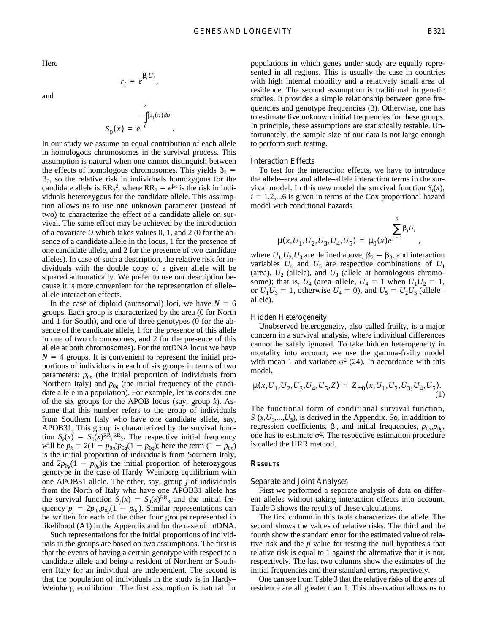,

Here

and

$$
S_0(x) = e^{\int_a^x \mu_0(u) du}
$$

.

 $r_i = e^{\beta_i U_i},$ 

In our study we assume an equal contribution of each allele in homologous chromosomes in the survival process. This assumption is natural when one cannot distinguish between the effects of homologous chromosomes. This yields  $\beta_2$  =  $\beta_3$ , so the relative risk in individuals homozygous for the candidate allele is  $RR_2^2$ , where  $RR_2 = e^{\beta_2}$  is the risk in individuals heterozygous for the candidate allele. This assumption allows us to use one unknown parameter (instead of two) to characterize the effect of a candidate allele on survival. The same effect may be achieved by the introduction of a covariate *U* which takes values 0, 1, and 2 (0 for the absence of a candidate allele in the locus, 1 for the presence of one candidate allele, and 2 for the presence of two candidate alleles). In case of such a description, the relative risk for individuals with the double copy of a given allele will be squared automatically. We prefer to use our description because it is more convenient for the representation of allele– allele interaction effects.

In the case of diploid (autosomal) loci, we have  $N = 6$ groups. Each group is characterized by the area (0 for North and 1 for South), and one of three genotypes (0 for the absence of the candidate allele, 1 for the presence of this allele in one of two chromosomes, and 2 for the presence of this allele at both chromosomes). For the mtDNA locus we have  $N = 4$  groups. It is convenient to represent the initial proportions of individuals in each of six groups in terms of two parameters:  $p_{0n}$  (the initial proportion of individuals from Northern Italy) and  $p_{0g}$  (the initial frequency of the candidate allele in a population). For example, let us consider one of the six groups for the APOB locus (say, group *k*). Assume that this number refers to the group of individuals from Southern Italy who have one candidate allele, say, APOB31. This group is characterized by the survival function  $S_k(x) = S_0(x)^{RR_1RR_2}$ . The respective initial frequency will be  $p_k = 2(1 - p_{0n})p_{0g}(1 - p_{0g})$ ; here the term  $(1 - p_{0n})$ is the initial proportion of individuals from Southern Italy, and  $2p_{0g}(1 - p_{0g})$  is the initial proportion of heterozygous genotype in the case of Hardy–Weinberg equilibrium with one APOB31 allele. The other, say, group *j* of individuals from the North of Italy who have one APOB31 allele has the survival function  $S_i(x) = S_0(x)^{RR_3}$  and the initial frequency  $p_j = 2p_{0n}p_{0g}(1 - p_{0g})$ . Similar representations can be written for each of the other four groups represented in likelihood (A1) in the Appendix and for the case of mtDNA.

Such representations for the initial proportions of individuals in the groups are based on two assumptions. The first is that the events of having a certain genotype with respect to a candidate allele and being a resident of Northern or Southern Italy for an individual are independent. The second is that the population of individuals in the study is in Hardy– Weinberg equilibrium. The first assumption is natural for

populations in which genes under study are equally represented in all regions. This is usually the case in countries with high internal mobility and a relatively small area of residence. The second assumption is traditional in genetic studies. It provides a simple relationship between gene frequencies and genotype frequencies (3). Otherwise, one has to estimate five unknown initial frequencies for these groups. In principle, these assumptions are statistically testable. Unfortunately, the sample size of our data is not large enough to perform such testing.

# *Interaction Effects*

To test for the interaction effects, we have to introduce the allele–area and allele–allele interaction terms in the survival model. In this new model the survival function  $S_i(x)$ ,  $i = 1,2,...6$  is given in terms of the Cox proportional hazard model with conditional hazards

$$
\mu(x, U_1, U_2, U_3, U_4, U_5) = \mu_0(x)e^{j=1} \sum_{j=1}^{5} \beta_j U_j
$$

where  $U_1, U_2, U_3$  are defined above,  $\beta_2 = \beta_3$ , and interaction variables  $U_4$  and  $U_5$  are respective combinations of  $U_1$ (area),  $U_2$  (allele), and  $U_3$  (allele at homologous chromosome); that is,  $U_4$  (area–allele,  $U_4 = 1$  when  $U_1U_2 = 1$ , or  $U_1 U_3 = 1$ , otherwise  $U_4 = 0$ ), and  $U_5 = U_2 U_3$  (allele– allele).

# *Hidden Heterogeneity*

Unobserved heterogeneity, also called frailty, is a major concern in a survival analysis, where individual differences cannot be safely ignored. To take hidden heterogeneity in mortality into account, we use the gamma-frailty model with mean 1 and variance  $\sigma^2$  (24). In accordance with this model,

$$
\mu(x, U_1, U_2, U_3, U_4, U_5, Z) = Z\mu_0(x, U_1, U_2, U_3, U_4, U_5). \tag{1}
$$

The functional form of conditional survival function,  $S(x, U_1, \ldots, U_5)$ , is derived in the Appendix. So, in addition to regression coefficients,  $\beta_i$ , and initial frequencies,  $p_{0n}$ ,  $p_{0g}$ , one has to estimate  $\sigma^2$ . The respective estimation procedure is called the HRR method.

# **RESULTS**

### *Separate and Joint Analyses*

First we performed a separate analysis of data on different alleles without taking interaction effects into account. Table 3 shows the results of these calculations.

The first column in this table characterizes the allele. The second shows the values of relative risks. The third and the fourth show the standard error for the estimated value of relative risk and the *p* value for testing the null hypothesis that relative risk is equal to 1 against the alternative that it is not, respectively. The last two columns show the estimates of the initial frequencies and their standard errors, respectively.

One can see from Table 3 that the relative risks of the area of residence are all greater than 1. This observation allows us to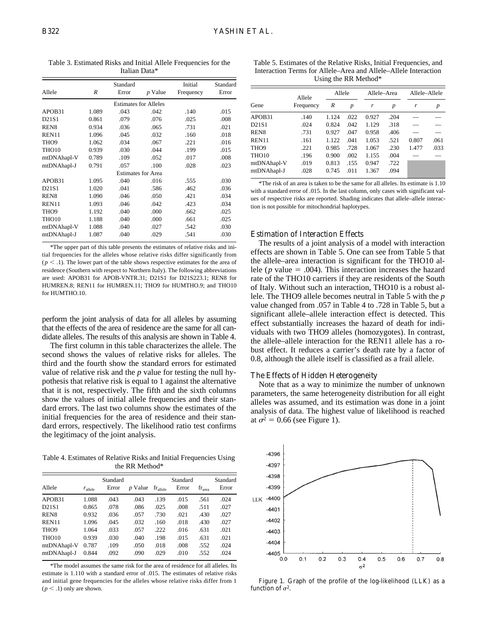Allele *R* Standard Error *p* Value Initial Frequency Standard Error Estimates for Alleles APOB31 1.089 .043 .042 .140 .015 D21S1 0.861 .079 .076 .025 .008 REN8 0.934 .036 .065 .731 .021 REN11 1.096 .045 .032 .160 .018 THO9 1.062 .034 .067 .221 .016 THO10 0.939 .030 .044 .199 .015 mtDNAhapl-V 0.789 .109 .052 .017 .008 mtDNAhapl-J 0.791 .057 .100 .028 .023 Estimates for Area APOB31 1.095 .040 .016 .555 .030 D21S1 1.020 .041 .586 .462 .036 REN8 1.090 .046 .050 .421 .034 REN11 1.093 .046 .042 .423 .034 THO9 1.192 .040 .000 .662 .025 THO10 1.188 .040 .000 .661 .025 mtDNAhapl-V 1.088 .040 .027 .542 .030 mtDNAhapl-J 1.087 .040 .029 .541 .030

\*The upper part of this table presents the estimates of relative risks and initial frequencies for the alleles whose relative risks differ significantly from  $(p \leq .1)$ . The lower part of the table shows respective estimates for the area of residence (Southern with respect to Northern Italy). The following abbreviations are used: APOB31 for APOB-VNTR.31; D21S1 for D21S223.1; REN8 for HUMREN.8; REN11 for HUMREN.11; THO9 for HUMTHO.9; and THO10

for HUMTHO.10.

perform the joint analysis of data for all alleles by assuming that the effects of the area of residence are the same for all candidate alleles. The results of this analysis are shown in Table 4.

The first column in this table characterizes the allele. The second shows the values of relative risks for alleles. The third and the fourth show the standard errors for estimated value of relative risk and the *p* value for testing the null hypothesis that relative risk is equal to 1 against the alternative that it is not, respectively. The fifth and the sixth columns show the values of initial allele frequencies and their standard errors. The last two columns show the estimates of the initial frequencies for the area of residence and their standard errors, respectively. The likelihood ratio test confirms the legitimacy of the joint analysis.

Table 4. Estimates of Relative Risks and Initial Frequencies Using the RR Method\*

|                   | Standard            |       |           |                      | Standard |             |       |
|-------------------|---------------------|-------|-----------|----------------------|----------|-------------|-------|
| Allele            | $r_{\text{allele}}$ | Error | $p$ Value | $fr_{\text{allele}}$ | Error    | $fr_{area}$ | Error |
| APOB31            | 1.088               | .043  | .043      | .139                 | .015     | .561        | .024  |
| D21S1             | 0.865               | .078  | .086      | .025                 | .008     | .511        | .027  |
| REN <sub>8</sub>  | 0.932               | .036  | .057      | .730                 | .021     | .430        | .027  |
| REN <sub>11</sub> | 1.096               | .045  | .032      | .160                 | .018     | .430        | .027  |
| THO <sub>9</sub>  | 1.064               | .033  | .057      | .222                 | .016     | .631        | .021  |
| THO <sub>10</sub> | 0.939               | .030  | .040      | .198                 | .015     | .631        | .021  |
| mtDNAhapl-V       | 0.787               | .109  | .050      | .018                 | .008     | .552        | .024  |
| mtDNAhapl-J       | 0.844               | .092  | .090      | .029                 | .010     | .552        | .024  |

\*The model assumes the same risk for the area of residence for all alleles. Its estimate is 1.110 with a standard error of .015. The estimates of relative risks and initial gene frequencies for the alleles whose relative risks differ from 1  $(p < .1)$  only are shown.

Table 5. Estimates of the Relative Risks, Initial Frequencies, and Interaction Terms for Allele–Area and Allele–Allele Interaction Using the RR Method\*

| Gene                           | Allele<br>Frequency | Allele |      | Allele-Area |                  | Allele-Allele |                  |
|--------------------------------|---------------------|--------|------|-------------|------------------|---------------|------------------|
|                                |                     | R      | p    | r           | $\boldsymbol{p}$ | r             | $\boldsymbol{p}$ |
| APOB31                         | .140                | 1.124  | .022 | 0.927       | .204             |               |                  |
| D <sub>21</sub> S <sub>1</sub> | .024                | 0.824  | .042 | 1.129       | .318             |               |                  |
| REN <sub>8</sub>               | .731                | 0.927  | .047 | 0.958       | .406             |               |                  |
| REN11                          | .161                | 1.122  | .041 | 1.053       | .521             | 0.807         | .061             |
| THO <sub>9</sub>               | .221                | 0.985  | .728 | 1.067       | .230             | 1.477         | .033             |
| THO <sub>10</sub>              | .196                | 0.900  | .002 | 1.155       | .004             |               |                  |
| mtDNAhapl-V                    | .019                | 0.813  | .155 | 0.947       | .722             |               |                  |
| mtDNAhapl-J                    | .028                | 0.745  | .011 | 1.367       | .094             |               |                  |

\*The risk of an area is taken to be the same for all alleles. Its estimate is 1.10 with a standard error of .015. In the last column, only cases with significant values of respective risks are reported. Shading indicates that allele–allele interaction is not possible for mitochondrial haplotypes.

# *Estimation of Interaction Effects*

The results of a joint analysis of a model with interaction effects are shown in Table 5. One can see from Table 5 that the allele–area interaction is significant for the THO10 allele ( $p$  value  $= .004$ ). This interaction increases the hazard rate of the THO10 carriers if they are residents of the South of Italy. Without such an interaction, THO10 is a robust allele. The THO9 allele becomes neutral in Table 5 with the *p* value changed from .057 in Table 4 to .728 in Table 5, but a significant allele–allele interaction effect is detected. This effect substantially increases the hazard of death for individuals with two THO9 alleles (homozygotes). In contrast, the allele–allele interaction for the REN11 allele has a robust effect. It reduces a carrier's death rate by a factor of 0.8, although the allele itself is classified as a frail allele.

# *The Effects of Hidden Heterogeneity*

Note that as a way to minimize the number of unknown parameters, the same heterogeneity distribution for all eight alleles was assumed, and its estimation was done in a joint analysis of data. The highest value of likelihood is reached at  $\sigma^2$  = 0.66 (see Figure 1).



Figure 1. Graph of the profile of the log-likelihood (LLK) as a function of  $\sigma^2$ .

Table 3. Estimated Risks and Initial Allele Frequencies for the Italian Data\*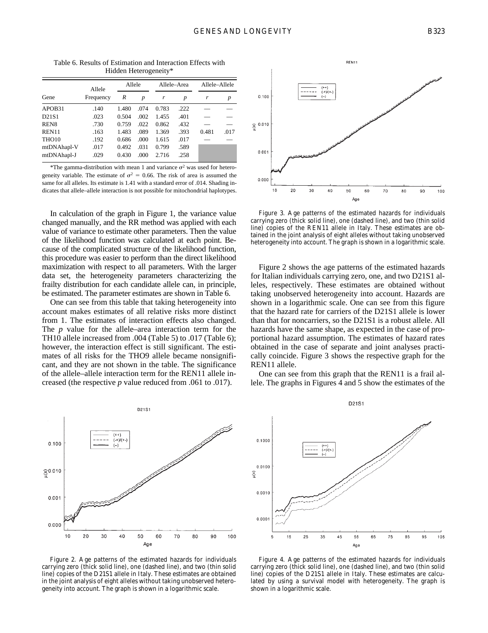|                   | Allele    | Allele |                  | Allele-Area |      | Allele-Allele |      |
|-------------------|-----------|--------|------------------|-------------|------|---------------|------|
| Gene              | Frequency | R      | $\boldsymbol{p}$ | r           | p    | r             | p    |
| APOB31            | .140      | 1.480  | .074             | 0.783       | .222 |               |      |
| D21S1             | .023      | 0.504  | .002             | 1.455       | .401 |               |      |
| REN <sub>8</sub>  | .730      | 0.759  | .022             | 0.862       | .432 |               |      |
| REN11             | .163      | 1.483  | .089             | 1.369       | .393 | 0.481         | .017 |
| THO <sub>10</sub> | .192      | 0.686  | .000             | 1.615       | .017 |               |      |
| mtDNAhapl-V       | .017      | 0.492  | .031             | 0.799       | .589 |               |      |
| mtDNAhapl-J       | .029      | 0.430  | .000             | 2.716       | .258 |               |      |

Table 6. Results of Estimation and Interaction Effects with Hidden Heterogeneity\*

\*The gamma-distribution with mean 1 and variance  $\sigma^2$  was used for heterogeneity variable. The estimate of  $\sigma^2 = 0.66$ . The risk of area is assumed the same for all alleles. Its estimate is 1.41 with a standard error of .014. Shading indicates that allele–allele interaction is not possible for mitochondrial haplotypes.

In calculation of the graph in Figure 1, the variance value changed manually, and the RR method was applied with each value of variance to estimate other parameters. Then the value of the likelihood function was calculated at each point. Because of the complicated structure of the likelihood function, this procedure was easier to perform than the direct likelihood maximization with respect to all parameters. With the larger data set, the heterogeneity parameters characterizing the frailty distribution for each candidate allele can, in principle, be estimated. The parameter estimates are shown in Table 6.

One can see from this table that taking heterogeneity into account makes estimates of all relative risks more distinct from 1. The estimates of interaction effects also changed. The *p* value for the allele–area interaction term for the TH10 allele increased from .004 (Table 5) to .017 (Table 6); however, the interaction effect is still significant. The estimates of all risks for the THO9 allele became nonsignificant, and they are not shown in the table. The significance of the allele–allele interaction term for the REN11 allele increased (the respective *p* value reduced from .061 to .017).



Figure 2. Age patterns of the estimated hazards for individuals carrying zero (thick solid line), one (dashed line), and two (thin solid line) copies of the D21S1 allele in Italy. These estimates are obtained in the joint analysis of eight alleles without taking unobserved heterogeneity into account. The graph is shown in a logarithmic scale.



Figure 3. Age patterns of the estimated hazards for individuals carrying zero (thick solid line), one (dashed line), and two (thin solid line) copies of the REN11 allele in Italy. These estimates are obtained in the joint analysis of eight alleles without taking unobserved heterogeneity into account. The graph is shown in a logarithmic scale.

Figure 2 shows the age patterns of the estimated hazards for Italian individuals carrying zero, one, and two D21S1 alleles, respectively. These estimates are obtained without taking unobserved heterogeneity into account. Hazards are shown in a logarithmic scale. One can see from this figure that the hazard rate for carriers of the D21S1 allele is lower than that for noncarriers, so the D21S1 is a robust allele. All hazards have the same shape, as expected in the case of proportional hazard assumption. The estimates of hazard rates obtained in the case of separate and joint analyses practically coincide. Figure 3 shows the respective graph for the REN11 allele.

One can see from this graph that the REN11 is a frail allele. The graphs in Figures 4 and 5 show the estimates of the



Figure 4. Age patterns of the estimated hazards for individuals carrying zero (thick solid line), one (dashed line), and two (thin solid line) copies of the D21S1 allele in Italy. These estimates are calculated by using a survival model with heterogeneity. The graph is shown in a logarithmic scale.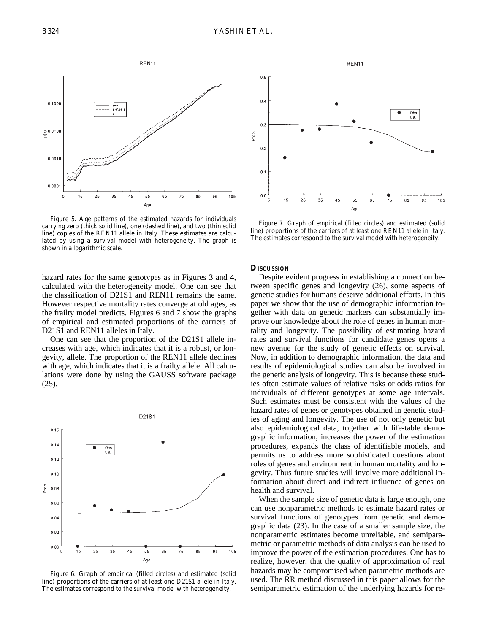

Figure 5. Age patterns of the estimated hazards for individuals carrying zero (thick solid line), one (dashed line), and two (thin solid line) copies of the REN11 allele in Italy. These estimates are calculated by using a survival model with heterogeneity. The graph is shown in a logarithmic scale.

hazard rates for the same genotypes as in Figures 3 and 4, calculated with the heterogeneity model. One can see that the classification of D21S1 and REN11 remains the same. However respective mortality rates converge at old ages, as the frailty model predicts. Figures 6 and 7 show the graphs of empirical and estimated proportions of the carriers of D21S1 and REN11 alleles in Italy.

One can see that the proportion of the D21S1 allele increases with age, which indicates that it is a robust, or longevity, allele. The proportion of the REN11 allele declines with age, which indicates that it is a frailty allele. All calculations were done by using the GAUSS software package (25).



Figure 6. Graph of empirical (filled circles) and estimated (solid line) proportions of the carriers of at least one D21S1 allele in Italy. The estimates correspond to the survival model with heterogeneity.



Figure 7. Graph of empirical (filled circles) and estimated (solid line) proportions of the carriers of at least one REN11 allele in Italy. The estimates correspond to the survival model with heterogeneity.

#### **DISCUSSION**

Despite evident progress in establishing a connection between specific genes and longevity (26), some aspects of genetic studies for humans deserve additional efforts. In this paper we show that the use of demographic information together with data on genetic markers can substantially improve our knowledge about the role of genes in human mortality and longevity. The possibility of estimating hazard rates and survival functions for candidate genes opens a new avenue for the study of genetic effects on survival. Now, in addition to demographic information, the data and results of epidemiological studies can also be involved in the genetic analysis of longevity. This is because these studies often estimate values of relative risks or odds ratios for individuals of different genotypes at some age intervals. Such estimates must be consistent with the values of the hazard rates of genes or genotypes obtained in genetic studies of aging and longevity. The use of not only genetic but also epidemiological data, together with life-table demographic information, increases the power of the estimation procedures, expands the class of identifiable models, and permits us to address more sophisticated questions about roles of genes and environment in human mortality and longevity. Thus future studies will involve more additional information about direct and indirect influence of genes on health and survival.

When the sample size of genetic data is large enough, one can use nonparametric methods to estimate hazard rates or survival functions of genotypes from genetic and demographic data (23). In the case of a smaller sample size, the nonparametric estimates become unreliable, and semiparametric or parametric methods of data analysis can be used to improve the power of the estimation procedures. One has to realize, however, that the quality of approximation of real hazards may be compromised when parametric methods are used. The RR method discussed in this paper allows for the semiparametric estimation of the underlying hazards for re-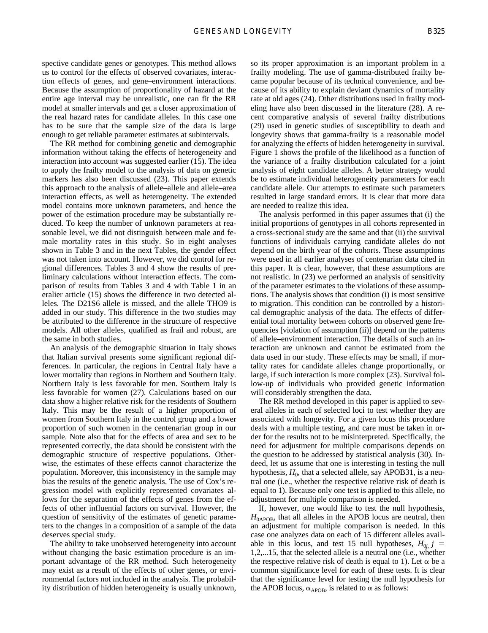spective candidate genes or genotypes. This method allows us to control for the effects of observed covariates, interaction effects of genes, and gene–environment interactions. Because the assumption of proportionality of hazard at the entire age interval may be unrealistic, one can fit the RR model at smaller intervals and get a closer approximation of the real hazard rates for candidate alleles. In this case one has to be sure that the sample size of the data is large enough to get reliable parameter estimates at subintervals.

The RR method for combining genetic and demographic information without taking the effects of heterogeneity and interaction into account was suggested earlier (15). The idea to apply the frailty model to the analysis of data on genetic markers has also been discussed (23). This paper extends this approach to the analysis of allele–allele and allele–area interaction effects, as well as heterogeneity. The extended model contains more unknown parameters, and hence the power of the estimation procedure may be substantially reduced. To keep the number of unknown parameters at reasonable level, we did not distinguish between male and female mortality rates in this study. So in eight analyses shown in Table 3 and in the next Tables, the gender effect was not taken into account. However, we did control for regional differences. Tables 3 and 4 show the results of preliminary calculations without interaction effects. The comparison of results from Tables 3 and 4 with Table 1 in an eralier article (15) shows the difference in two detected alleles. The D21S6 allele is missed, and the allele THO9 is added in our study. This difference in the two studies may be attributed to the difference in the structure of respective models. All other alleles, qualified as frail and robust, are the same in both studies.

An analysis of the demographic situation in Italy shows that Italian survival presents some significant regional differences. In particular, the regions in Central Italy have a lower mortality than regions in Northern and Southern Italy. Northern Italy is less favorable for men. Southern Italy is less favorable for women (27). Calculations based on our data show a higher relative risk for the residents of Southern Italy. This may be the result of a higher proportion of women from Southern Italy in the control group and a lower proportion of such women in the centenarian group in our sample. Note also that for the effects of area and sex to be represented correctly, the data should be consistent with the demographic structure of respective populations. Otherwise, the estimates of these effects cannot characterize the population. Moreover, this inconsistency in the sample may bias the results of the genetic analysis. The use of Cox's regression model with explicitly represented covariates allows for the separation of the effects of genes from the effects of other influential factors on survival. However, the question of sensitivity of the estimates of genetic parameters to the changes in a composition of a sample of the data deserves special study.

The ability to take unobserved heterogeneity into account without changing the basic estimation procedure is an important advantage of the RR method. Such heterogeneity may exist as a result of the effects of other genes, or environmental factors not included in the analysis. The probability distribution of hidden heterogeneity is usually unknown,

so its proper approximation is an important problem in a frailty modeling. The use of gamma-distributed frailty became popular because of its technical convenience, and because of its ability to explain deviant dynamics of mortality rate at old ages (24). Other distributions used in frailty modeling have also been discussed in the literature (28). A recent comparative analysis of several frailty distributions (29) used in genetic studies of susceptibility to death and longevity shows that gamma-frailty is a reasonable model for analyzing the effects of hidden heterogeneity in survival. Figure 1 shows the profile of the likelihood as a function of the variance of a frailty distribution calculated for a joint analysis of eight candidate alleles. A better strategy would be to estimate individual heterogeneity parameters for each candidate allele. Our attempts to estimate such parameters resulted in large standard errors. It is clear that more data are needed to realize this idea.

The analysis performed in this paper assumes that (i) the initial proportions of genotypes in all cohorts represented in a cross-sectional study are the same and that (ii) the survival functions of individuals carrying candidate alleles do not depend on the birth year of the cohorts. These assumptions were used in all earlier analyses of centenarian data cited in this paper. It is clear, however, that these assumptions are not realistic. In (23) we performed an analysis of sensitivity of the parameter estimates to the violations of these assumptions. The analysis shows that condition (i) is most sensitive to migration. This condition can be controlled by a historical demographic analysis of the data. The effects of differential total mortality between cohorts on observed gene frequencies [violation of assumption (ii)] depend on the patterns of allele–environment interaction. The details of such an interaction are unknown and cannot be estimated from the data used in our study. These effects may be small, if mortality rates for candidate alleles change proportionally, or large, if such interaction is more complex (23). Survival follow-up of individuals who provided genetic information will considerably strengthen the data.

The RR method developed in this paper is applied to several alleles in each of selected loci to test whether they are associated with longevity. For a given locus this procedure deals with a multiple testing, and care must be taken in order for the results not to be misinterpreted. Specifically, the need for adjustment for multiple comparisons depends on the question to be addressed by statistical analysis (30). Indeed, let us assume that one is interesting in testing the null hypothesis,  $H_0$ , that a selected allele, say APOB31, is a neutral one (i.e., whether the respective relative risk of death is equal to 1). Because only one test is applied to this allele, no adjustment for multiple comparison is needed.

If, however, one would like to test the null hypothesis,  $H<sub>0APOB</sub>$ , that all alleles in the APOB locus are neutral, then an adjustment for multiple comparison is needed. In this case one analyzes data on each of 15 different alleles available in this locus, and test 15 null hypotheses,  $H_{0j}$ ,  $j =$ 1,2,...15, that the selected allele is a neutral one (i.e., whether the respective relative risk of death is equal to 1). Let  $\alpha$  be a common significance level for each of these tests. It is clear that the significance level for testing the null hypothesis for the APOB locus,  $\alpha_{APOB}$ , is related to  $\alpha$  as follows: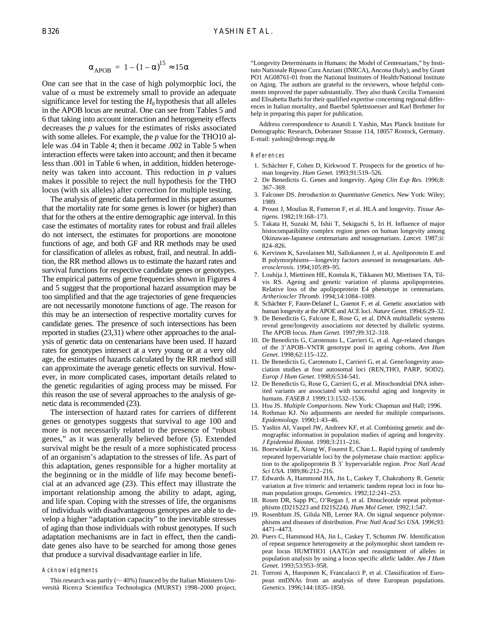$$
\alpha_{\rm APOB} = 1 - (1 - \alpha)^{15} \approx 150
$$

One can see that in the case of high polymorphic loci, the value of  $\alpha$  must be extremely small to provide an adequate significance level for testing the  $H_0$  hypothesis that all alleles in the APOB locus are neutral. One can see from Tables 5 and 6 that taking into account interaction and heterogeneity effects decreases the *p* values for the estimates of risks associated with some alleles. For example, the *p* value for the THO10 allele was .04 in Table 4; then it became .002 in Table 5 when interaction effects were taken into account; and then it became less than .001 in Table 6 when, in addition, hidden heterogeneity was taken into account. This reduction in *p* values makes it possible to reject the null hypothesis for the THO locus (with six alleles) after correction for multiple testing.

The analysis of genetic data performed in this paper assumes that the mortality rate for some genes is lower (or higher) than that for the others at the entire demographic age interval. In this case the estimates of mortality rates for robust and frail alleles do not intersect, the estimates for proportions are monotone functions of age, and both GF and RR methods may be used for classification of alleles as robust, frail, and neutral. In addition, the RR method allows us to estimate the hazard rates and survival functions for respective candidate genes or genotypes. The empirical patterns of gene frequencies shown in Figures 4 and 5 suggest that the proportional hazard assumption may be too simplified and that the age trajectories of gene frequencies are not necessarily monotone functions of age. The reason for this may be an intersection of respective mortality curves for candidate genes. The presence of such intersections has been reported in studies (23,31) where other approaches to the analysis of genetic data on centenarians have been used. If hazard rates for genotypes intersect at a very young or at a very old age, the estimates of hazards calculated by the RR method still can approximate the average genetic effects on survival. However, in more complicated cases, important details related to the genetic regularities of aging process may be missed. For this reason the use of several approaches to the analysis of genetic data is recommended (23).

The intersection of hazard rates for carriers of different genes or genotypes suggests that survival to age 100 and more is not necessarily related to the presence of "robust genes," as it was generally believed before (5). Extended survival might be the result of a more sophisticated process of an organism's adaptation to the stresses of life. As part of this adaptation, genes responsible for a higher mortality at the beginning or in the middle of life may become beneficial at an advanced age (23). This effect may illustrate the important relationship among the ability to adapt, aging, and life span. Coping with the stresses of life, the organisms of individuals with disadvantageous genotypes are able to develop a higher "adaptation capacity" to the inevitable stresses of aging than those individuals with robust genotypes. If such adaptation mechanisms are in fact in effect, then the candidate genes also have to be searched for among those genes that produce a survival disadvantage earlier in life.

#### Acknowledgments

This research was partly ( $\sim$  40%) financed by the Italian Ministero Università Ricerca Scientifica Technologica (MURST) 1998–2000 project, "Longevity Determinants in Humans: the Model of Centenarians," by Instituto Nationale Riposo Cura Anziani (INRCA), Ancona (Italy), and by Grant PO1 AG08761-01 from the National Institutes of Health/National Institute on Aging. The authors are grateful to the reviewers, whose helpful comments improved the paper substantially. They also thank Cecilia Tomassini and Elisabetta Barbi for their qualified expertise concerning regional differences in Italian mortality, and Baerbel Splettstoesser and Karl Brehmer for help in preparing this paper for publication.

Address correspondence to Anatoli I. Yashin, Max Planck Institute for Demographic Research, Doberaner Strasse 114, 18057 Rostock, Germany. E-mail: yashin@demogr.mpg.de

#### References

- 1. Schächter F, Cohen D, Kirkwood T. Prospects for the genetics of human longevity. *Hum Genet.* 1993;91:519–526.
- 2. De Benedictis G. Genes and longevity. *Aging Clin Exp Res.* 1996;8: 367–369.
- 3. Falconer DS. *Introduction to Quantitative Genetics.* New York: Wiley; 1989.
- 4. Proust J, Moulias R, Fumeron F, et al. HLA and longevity. *Tissue Antigens.* 1982;19:168–173.
- 5. Takata H, Suzuki M, Ishii T, Sekiguchi S, Iri H. Influence of major histocompatibility complex region genes on human longevity among Okinawan-Japanese centenarians and nonagenarians. *Lancet.* 1987;ii: 824–826.
- 6. Kervinen K, Savolainen MJ, Sallokannen J, et al. Apoliporotein E and B polymorphisms—longevity factors assessed in nonagenarians. *Atherosclerosis.* 1994;105:89–95.
- 7. Louhija J, Miettinen HE, Kontula K, Tikkanen MJ, Miettinen TA, Tilvis RS. Ageing and genetic variation of plasma apolipoproteins. Relative loss of the apolipoprotein E4 phenotype in centenarians. *Artherioscler Thromb.* 1994;14:1084–1089.
- 8. Schächter F, Faure-Delanef L, Guenot F, et al. Genetic association with human longevity at the APOE and ACE loci. *Nature Genet.* 1994;6:29–32.
- 9. De Benedictis G, Falcone E, Rose G, et al. DNA multiallelic systems reveal gene/longevity associations not detected by diallelic systems. The APOB locus. *Hum Genet.* 1997;99:312–318.
- 10. De Benedictis G, Carotenuto L, Carrieri G, et al. Age-related changes of the 3'APOB-VNTR genotype pool in ageing cohorts. Ann Hum *Genet*. 1998;62:115–122.
- 11. De Benedictis G, Carotenuto L, Carrieri G, et al. Gene/longevity association studies at four autosomal loci (REN,THO, PARP, SOD2). *Europ J Hum Genet.* 1998;6:534-541.
- 12. De Benedictis G, Rose G, Carrieri G, et al. Mitochondrial DNA inherited variants are associated with successful aging and longevity in humans. *FASEB J.* 1999;13:1532–1536.
- 13. Hsu JS. *Multiple Comparisons.* New York: Chapman and Hall; 1996.
- 14. Rothman KJ. No adjustments are needed for multiple comparisons. *Epidemiology.* 1990;1:43–46.
- 15. Yashin AI, Vaupel JW, Andreev KF, et al. Combining genetic and demographic information in population studies of ageing and longevity. *J Epidemiol Biostat.* 1998;3:211–216.
- 16. Boerwinkle E, Xiong W, Fourest E, Chan L. Rapid typing of tandemly repeated hypervariable loci by the polymerase chain reaction: application to the apolipoprotein B 3' hypervariable region. *Proc Natl Acad Sci USA.* 1989;86:212–216.
- 17. Edwards A, Hammond HA, Jin L, Caskey T, Chakraborty R. Genetic variation at five trimeric and tertameric tandem repeat loci in four human population groups. *Genomics.* 1992;12:241–253.
- 18. Rosen DR, Sapp PC, O'Regan J, et al. Dinucleotide repeat polymorphisms (D21S223 and D21S224). *Hum Mol Genet.* 1992;1:547.
- 19. Rosenblum JS, Gilula NB, Lerner RA. On signal sequence polymorphisms and diseases of distribution. *Proc Natl Acad Sci USA*. 1996;93: 4471–4473.
- 20. Puers C, Hammond HA, Jin L, Caskey T, Schumm JW. Identification of repeat sequence heterogeneity at the polymorphic short tamdem repeat locus HUMTHO1 (AATG)*n* and reassignment of alleles in population analysis by using a locus specific allelic ladder. *Am J Hum Genet.* 1993;53:953–958.
- 21. Torroni A, Huoponen K, Francalacci P, et al. Classification of European mtDNAs from an analysis of three European populations. *Genetics.* 1996;144:1835–1850.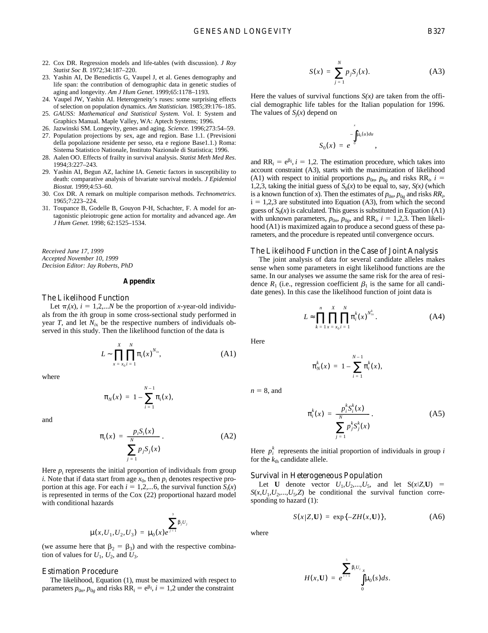- 22. Cox DR. Regression models and life-tables (with discussion). *J Roy Statist Soc B.* 1972;34:187–220.
- 23. Yashin AI, De Benedictis G, Vaupel J, et al. Genes demography and life span: the contribution of demographic data in genetic studies of aging and longevity. *Am J Hum Genet.* 1999;65:1178–1193.
- 24. Vaupel JW, Yashin AI. Heterogeneity's ruses: some surprising effects of selection on population dynamics. *Am Statistician.* 1985;39:176–185.
- 25. *GAUSS: Mathematical and Statistical System.* Vol. I: System and Graphics Manual. Maple Valley, WA: Aptech Systems; 1996.
- 26. Jazwinski SM. Longevity, genes and aging. *Science.* 1996;273:54–59.
- 27. Population projections by sex, age and region. Base 1.1. (Previsioni della popolazione residente per sesso, eta e regione Base1.1.) Roma: Sistema Statistico Nationale, Instituto Nazionale di Statistica; 1996.
- 28. Aalen OO. Effects of frailty in survival analysis. *Statist Meth Med Res*. 1994;3:227–243.
- 29. Yashin AI, Begun AZ, Iachine IA. Genetic factors in susceptibility to death: comparative analysis of bivariate survival models. *J Epidemiol Biostat.* 1999;4:53–60.
- 30. Cox DR. A remark on multiple comparison methods. *Technometrics.* 1965;7:223–224.
- 31. Toupance B, Godelle B, Gouyon P-H, Schachter, F. A model for antagonistic pleiotropic gene action for mortality and advanced age. *Am J Hum Genet.* 1998; 62:1525–1534.

*Received June 17, 1999 Accepted November 10, 1999 Decision Editor: Jay Roberts, PhD*

### **Appendix**

#### *The Likelihood Function*

Let  $\pi_i(x)$ ,  $i = 1,2,...N$  be the proportion of *x*-year-old individuals from the *i*th group in some cross-sectional study performed in year *T*, and let  $N_{ix}$  be the respective numbers of individuals observed in this study. Then the likelihood function of the data is

$$
L \sim \prod_{x = x_0 i}^{X} \prod_{i=1}^{N} \pi_i(x)^{N_{ix}},
$$
 (A1)

where

$$
\pi_N(x) = 1 - \sum_{i=1}^{N-1} \pi_i(x),
$$

and

$$
\pi_i(x) = \frac{p_i S_i(x)}{\sum_{j=1}^N p_j S_j(x)}.
$$
\n(A2)

Here  $p_i$  represents the initial proportion of individuals from group *i*. Note that if data start from age  $x_0$ , then  $p_i$  denotes respective proportion at this age. For each  $i = 1,2,...6$ , the survival function  $S_i(x)$ is represented in terms of the Cox (22) proportional hazard model with conditional hazards

$$
\mu(x, U_1, U_2, U_3) = \mu_0(x)e^{\int_{i=1}^{3} \beta_j U_j}
$$

(we assume here that  $\beta_2 = \beta_3$ ) and with the respective combination of values for  $U_1$ ,  $U_2$ , and  $U_3$ .

## *Estimation Procedure*

The likelihood, Equation (1), must be maximized with respect to parameters  $p_{0n}$ ,  $p_{0g}$  and risks  $RR_i = e^{\beta i}$ ,  $i = 1,2$  under the constraint

$$
S(x) = \sum_{j=1}^{N} p_j S_j(x).
$$
 (A3)

,

Here the values of survival functions  $S(x)$  are taken from the official demographic life tables for the Italian population for 1996. The values of  $S_j(x)$  depend on

$$
S_0(x) = e^{-\int_{0}^{x} \mu_0(u) du}
$$

and  $RR_i = e^{\beta i}$ ,  $i = 1,2$ . The estimation procedure, which takes into account constraint (A3), starts with the maximization of likelihood (A1) with respect to initial proportions  $p_{0n}$ ,  $p_{0g}$  and risks RR<sub>i</sub>,  $i =$ 1,2,3, taking the initial guess of  $S_0(x)$  to be equal to, say,  $S(x)$  (which is a known function of *x*). Then the estimates of  $p_{0n}$ ,  $p_{0g}$  and risks  $RR_i$ ,  $i = 1,2,3$  are substituted into Equation (A3), from which the second guess of  $S_0(x)$  is calculated. This guess is substituted in Equation (A1) with unknown parameters,  $p_{0n}$ ,  $p_{0g}$ , and RR<sub>*i*</sub>,  $i = 1,2,3$ . Then likelihood (A1) is maximized again to produce a second guess of these parameters, and the procedure is repeated until convergence occurs.

## *The Likelihood Function in the Case of Joint Analysis*

The joint analysis of data for several candidate alleles makes sense when some parameters in eight likelihood functions are the same. In our analyses we assume the same risk for the area of residence  $R_1$  (i.e., regression coefficient  $\beta_1$  is the same for all candidate genes). In this case the likelihood function of joint data is

$$
L \approx \prod_{k=1}^{n} \prod_{x=x_0}^{X} \prod_{i=1}^{N} \pi_i^k(x)^{N_{ix}^k}.
$$
 (A4)

Here

$$
\pi_N^k(x) = 1 - \sum_{i=1}^{N-1} \pi_i^k(x),
$$

 $n = 8$ , and

$$
\pi_i^k(x) = \frac{p_i^k S_i^k(x)}{\sum_{j=1}^N p_j^k S_j^k(x)}.
$$
 (A5)

Here  $p_i^k$  represents the initial proportion of individuals in group *i* for the  $k_{\text{th}}$  candidate allele.

### *Survival in Heterogeneous Population*

Let **U** denote vector  $U_1, U_2, ..., U_5$ , and let  $S(x|Z, U)$  =  $S(x, U_1, U_2, \ldots, U_5, Z)$  be conditional the survival function corresponding to hazard (1):

$$
S(x|Z, U) = \exp\{-ZH(x, U)\},\tag{A6}
$$

where

$$
H(x,\mathbf{U}) = e^{\sum_{i=1}^{5} \beta_{i} U_{i}} \int_{0}^{x} \mu_{0}(s) ds.
$$